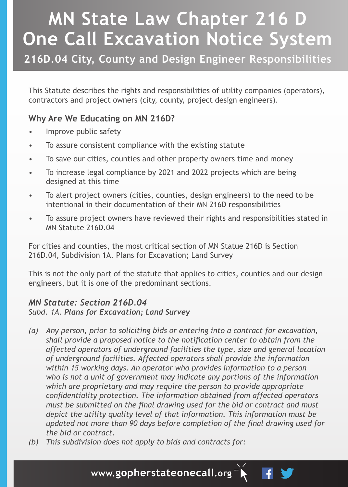# **MN State Law Chapter 216 D One Call Excavation Notice System**

**216D.04 City, County and Design Engineer Responsibilities**

This Statute describes the rights and responsibilities of utility companies (operators), contractors and project owners (city, county, project design engineers).

# **Why Are We Educating on MN 216D?**

- Improve public safety
- To assure consistent compliance with the existing statute
- To save our cities, counties and other property owners time and money
- To increase legal compliance by 2021 and 2022 projects which are being designed at this time
- To alert project owners (cities, counties, design engineers) to the need to be intentional in their documentation of their MN 216D responsibilities
- To assure project owners have reviewed their rights and responsibilities stated in MN Statute 216D.04

For cities and counties, the most critical section of MN Statue 216D is Section 216D.04, Subdivision 1A. Plans for Excavation; Land Survey

This is not the only part of the statute that applies to cities, counties and our design engineers, but it is one of the predominant sections.

### *MN Statute: Section 216D.04*

*Subd. 1A. Plans for Excavation; Land Survey*

- *(a) Any person, prior to soliciting bids or entering into a contract for excavation, shall provide a proposed notice to the notification center to obtain from the affected operators of underground facilities the type, size and general location of underground facilities. Affected operators shall provide the information within 15 working days. An operator who provides information to a person who is not a unit of government may indicate any portions of the information which are proprietary and may require the person to provide appropriate confidentiality protection. The information obtained from affected operators must be submitted on the final drawing used for the bid or contract and must depict the utility quality level of that information. This information must be updated not more than 90 days before completion of the final drawing used for the bid or contract.*
- *(b) This subdivision does not apply to bids and contracts for:*